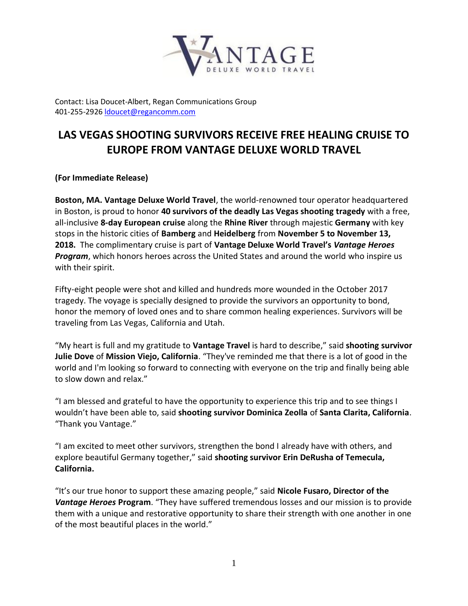

Contact: Lisa Doucet-Albert, Regan Communications Group 401-255-2926 [ldoucet@regancomm.com](mailto:ldoucet@regancomm.com)

## **LAS VEGAS SHOOTING SURVIVORS RECEIVE FREE HEALING CRUISE TO EUROPE FROM VANTAGE DELUXE WORLD TRAVEL**

**(For Immediate Release)**

**Boston, MA. Vantage Deluxe World Travel**, the world-renowned tour operator headquartered in Boston, is proud to honor **40 survivors of the deadly Las Vegas shooting tragedy** with a free, all-inclusive **8-day European cruise** along the **Rhine River** through majestic **Germany** with key stops in the historic cities of **Bamberg** and **Heidelberg** from **November 5 to November 13, 2018.** The complimentary cruise is part of **Vantage Deluxe World Travel's** *Vantage Heroes Program*, which honors heroes across the United States and around the world who inspire us with their spirit.

Fifty-eight people were shot and killed and hundreds more wounded in the October 2017 tragedy. The voyage is specially designed to provide the survivors an opportunity to bond, honor the memory of loved ones and to share common healing experiences. Survivors will be traveling from Las Vegas, California and Utah.

"My heart is full and my gratitude to **Vantage Travel** is hard to describe," said **shooting survivor Julie Dove** of **Mission Viejo, California**. "They've reminded me that there is a lot of good in the world and I'm looking so forward to connecting with everyone on the trip and finally being able to slow down and relax."

"I am blessed and grateful to have the opportunity to experience this trip and to see things I wouldn't have been able to, said **shooting survivor Dominica Zeolla** of **Santa Clarita, California**. "Thank you Vantage."

"I am excited to meet other survivors, strengthen the bond I already have with others, and explore beautiful Germany together," said **shooting survivor Erin DeRusha of Temecula, California.**

"It's our true honor to support these amazing people," said **Nicole Fusaro, Director of the**  *Vantage Heroes* **Program**. "They have suffered tremendous losses and our mission is to provide them with a unique and restorative opportunity to share their strength with one another in one of the most beautiful places in the world."